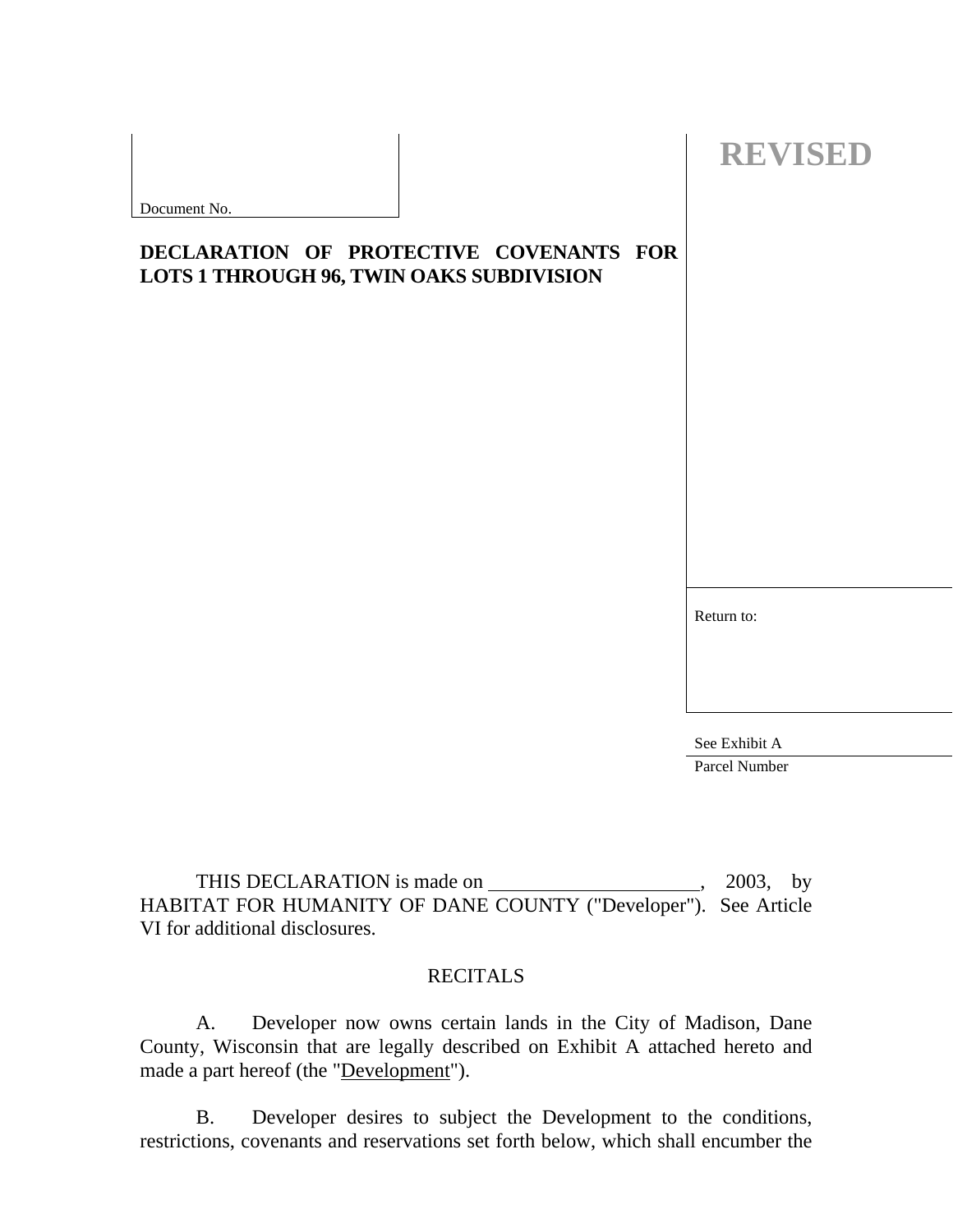| Document No. |  |  |
|--------------|--|--|

# **DECLARATION OF PROTECTIVE COVENANTS FOR LOTS 1 THROUGH 96, TWIN OAKS SUBDIVISION**

Return to:

 **REVISED** 

See Exhibit A Parcel Number

THIS DECLARATION is made on , 2003, by HABITAT FOR HUMANITY OF DANE COUNTY ("Developer"). See Article VI for additional disclosures.

## **RECITALS**

 A. Developer now owns certain lands in the City of Madison, Dane County, Wisconsin that are legally described on Exhibit A attached hereto and made a part hereof (the "Development").

 B. Developer desires to subject the Development to the conditions, restrictions, covenants and reservations set forth below, which shall encumber the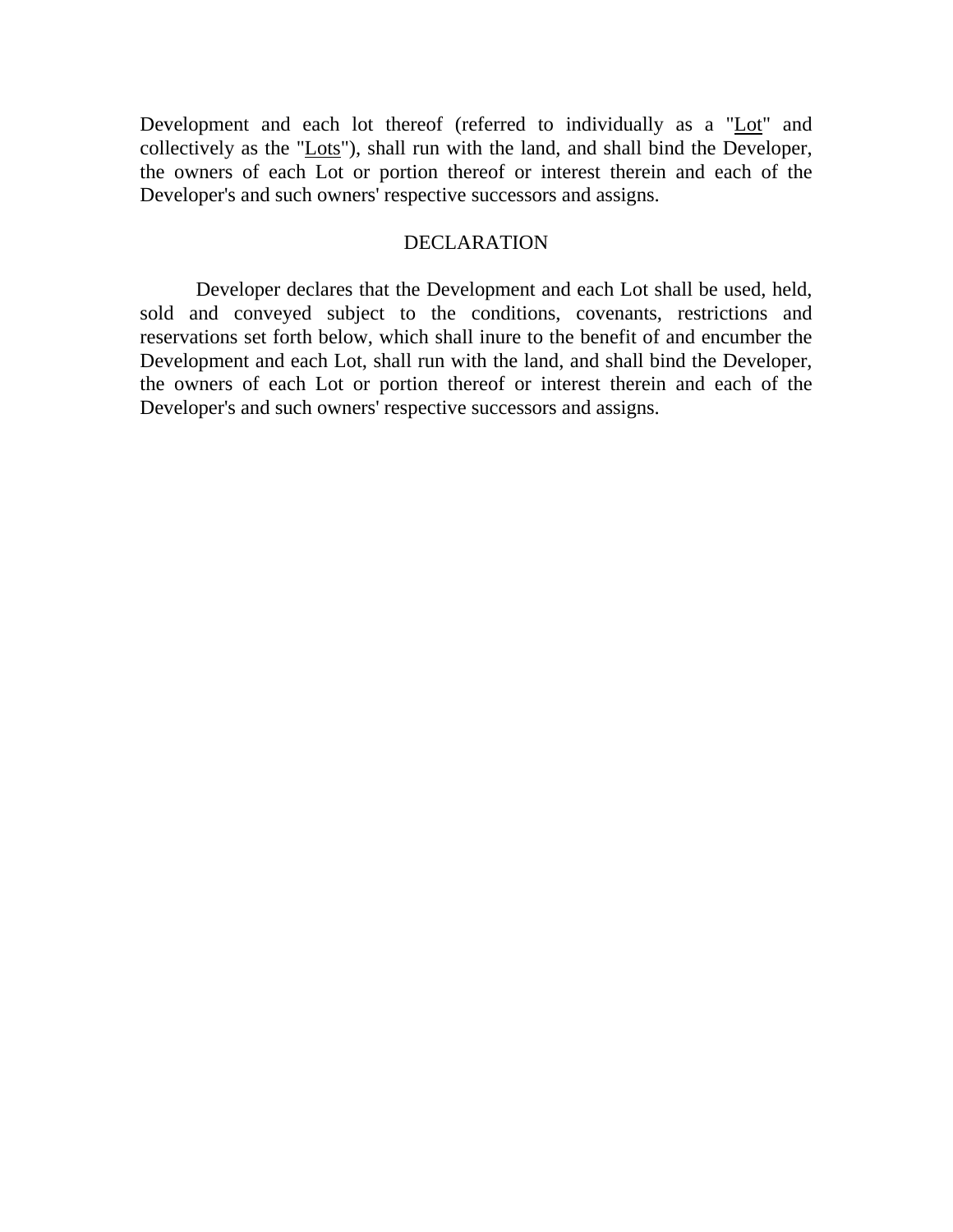Development and each lot thereof (referred to individually as a "Lot" and collectively as the "Lots"), shall run with the land, and shall bind the Developer, the owners of each Lot or portion thereof or interest therein and each of the Developer's and such owners' respective successors and assigns.

#### DECLARATION

 Developer declares that the Development and each Lot shall be used, held, sold and conveyed subject to the conditions, covenants, restrictions and reservations set forth below, which shall inure to the benefit of and encumber the Development and each Lot, shall run with the land, and shall bind the Developer, the owners of each Lot or portion thereof or interest therein and each of the Developer's and such owners' respective successors and assigns.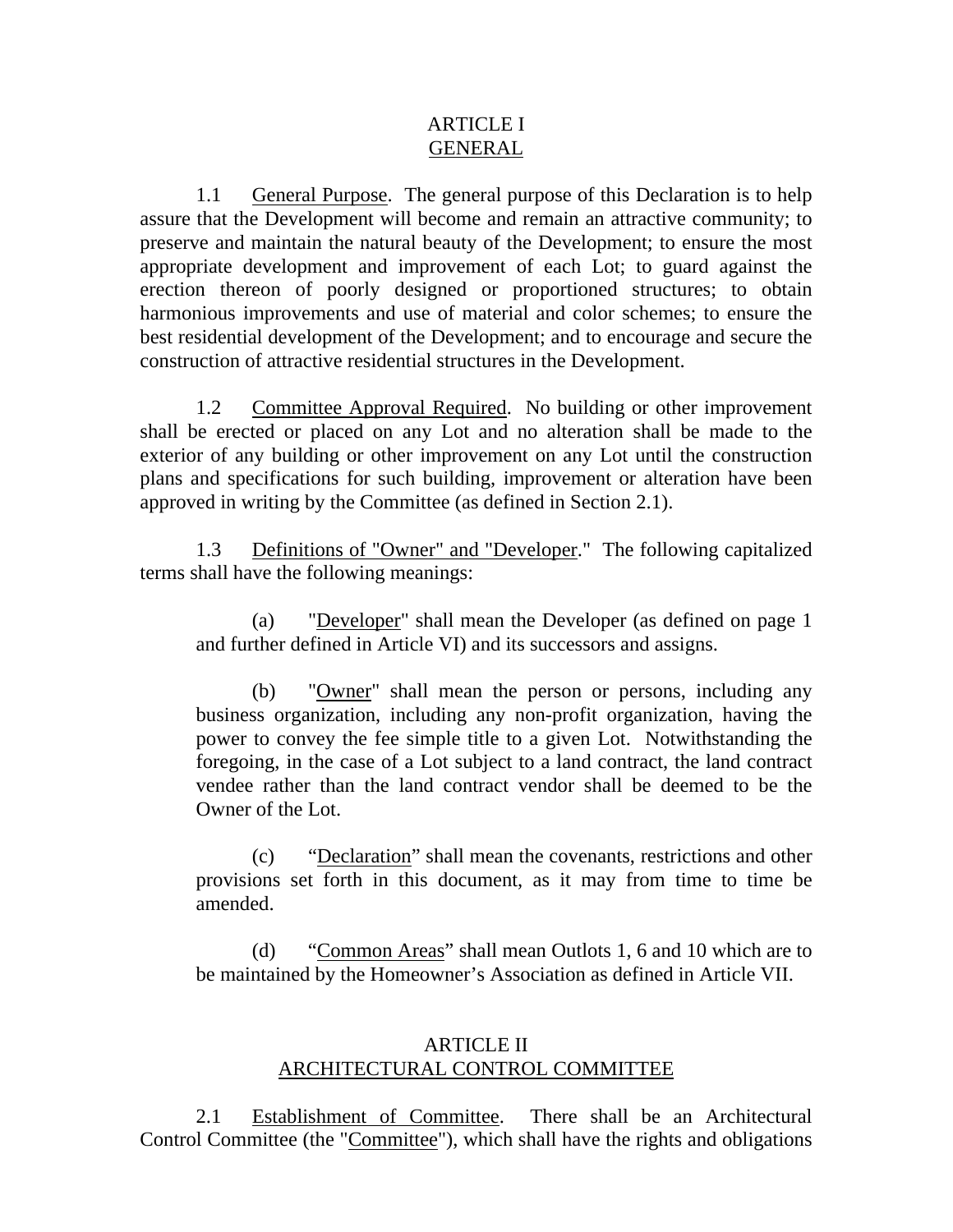# ARTICLE I GENERAL

 1.1 General Purpose. The general purpose of this Declaration is to help assure that the Development will become and remain an attractive community; to preserve and maintain the natural beauty of the Development; to ensure the most appropriate development and improvement of each Lot; to guard against the erection thereon of poorly designed or proportioned structures; to obtain harmonious improvements and use of material and color schemes; to ensure the best residential development of the Development; and to encourage and secure the construction of attractive residential structures in the Development.

 1.2 Committee Approval Required. No building or other improvement shall be erected or placed on any Lot and no alteration shall be made to the exterior of any building or other improvement on any Lot until the construction plans and specifications for such building, improvement or alteration have been approved in writing by the Committee (as defined in Section 2.1).

 1.3 Definitions of "Owner" and "Developer." The following capitalized terms shall have the following meanings:

(a) "Developer" shall mean the Developer (as defined on page 1 and further defined in Article VI) and its successors and assigns.

(b) "Owner" shall mean the person or persons, including any business organization, including any non-profit organization, having the power to convey the fee simple title to a given Lot. Notwithstanding the foregoing, in the case of a Lot subject to a land contract, the land contract vendee rather than the land contract vendor shall be deemed to be the Owner of the Lot.

(c) "Declaration" shall mean the covenants, restrictions and other provisions set forth in this document, as it may from time to time be amended.

(d) "Common Areas" shall mean Outlots 1, 6 and 10 which are to be maintained by the Homeowner's Association as defined in Article VII.

# ARTICLE II ARCHITECTURAL CONTROL COMMITTEE

 2.1 Establishment of Committee. There shall be an Architectural Control Committee (the "Committee"), which shall have the rights and obligations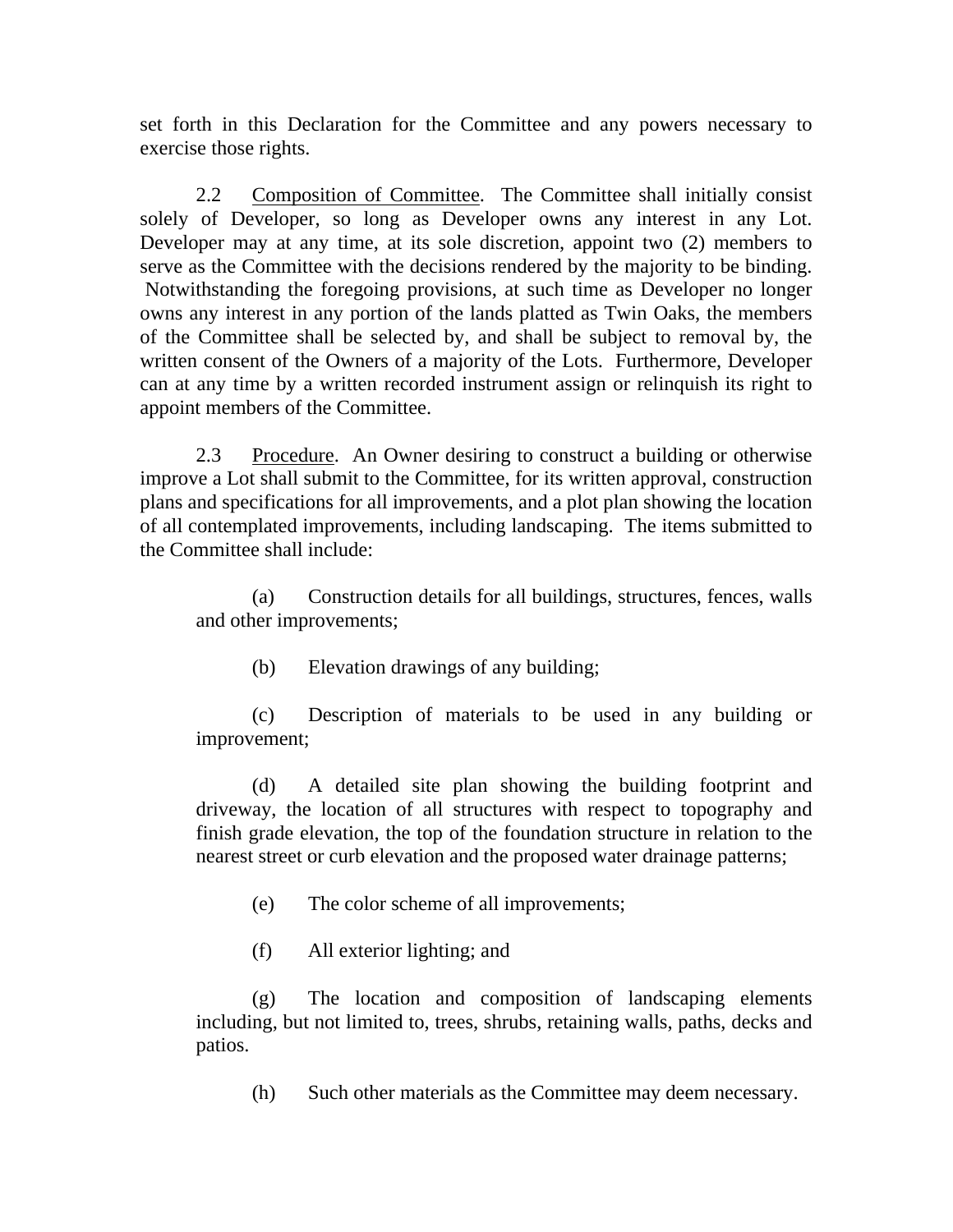set forth in this Declaration for the Committee and any powers necessary to exercise those rights.

 2.2 Composition of Committee. The Committee shall initially consist solely of Developer, so long as Developer owns any interest in any Lot. Developer may at any time, at its sole discretion, appoint two (2) members to serve as the Committee with the decisions rendered by the majority to be binding. Notwithstanding the foregoing provisions, at such time as Developer no longer owns any interest in any portion of the lands platted as Twin Oaks, the members of the Committee shall be selected by, and shall be subject to removal by, the written consent of the Owners of a majority of the Lots. Furthermore, Developer can at any time by a written recorded instrument assign or relinquish its right to appoint members of the Committee.

 2.3 Procedure. An Owner desiring to construct a building or otherwise improve a Lot shall submit to the Committee, for its written approval, construction plans and specifications for all improvements, and a plot plan showing the location of all contemplated improvements, including landscaping. The items submitted to the Committee shall include:

(a) Construction details for all buildings, structures, fences, walls and other improvements;

(b) Elevation drawings of any building;

(c) Description of materials to be used in any building or improvement;

(d) A detailed site plan showing the building footprint and driveway, the location of all structures with respect to topography and finish grade elevation, the top of the foundation structure in relation to the nearest street or curb elevation and the proposed water drainage patterns;

- (e) The color scheme of all improvements;
- (f) All exterior lighting; and

(g) The location and composition of landscaping elements including, but not limited to, trees, shrubs, retaining walls, paths, decks and patios.

(h) Such other materials as the Committee may deem necessary.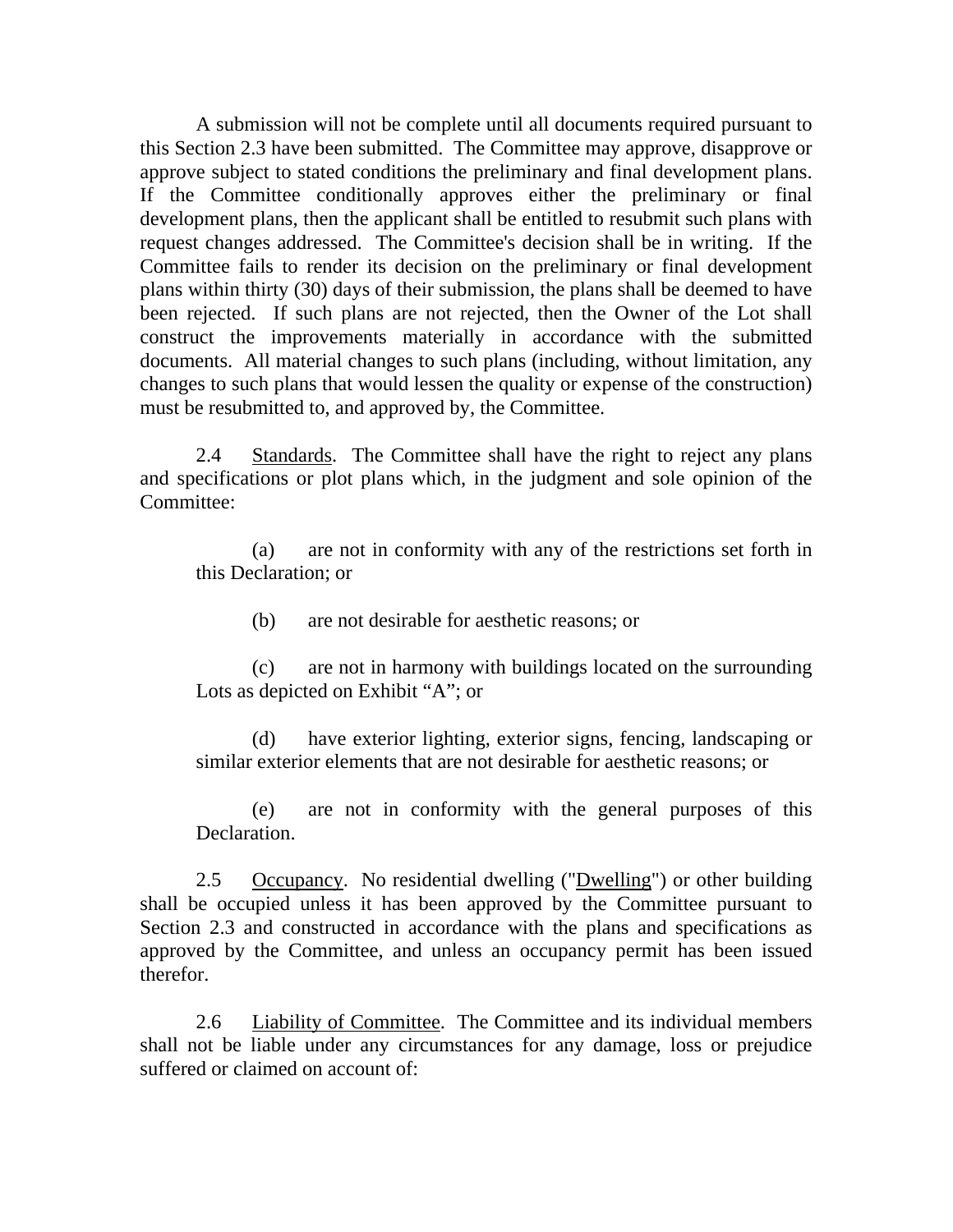A submission will not be complete until all documents required pursuant to this Section 2.3 have been submitted. The Committee may approve, disapprove or approve subject to stated conditions the preliminary and final development plans. If the Committee conditionally approves either the preliminary or final development plans, then the applicant shall be entitled to resubmit such plans with request changes addressed. The Committee's decision shall be in writing. If the Committee fails to render its decision on the preliminary or final development plans within thirty (30) days of their submission, the plans shall be deemed to have been rejected. If such plans are not rejected, then the Owner of the Lot shall construct the improvements materially in accordance with the submitted documents. All material changes to such plans (including, without limitation, any changes to such plans that would lessen the quality or expense of the construction) must be resubmitted to, and approved by, the Committee.

 2.4 Standards. The Committee shall have the right to reject any plans and specifications or plot plans which, in the judgment and sole opinion of the Committee:

(a) are not in conformity with any of the restrictions set forth in this Declaration; or

(b) are not desirable for aesthetic reasons; or

(c) are not in harmony with buildings located on the surrounding Lots as depicted on Exhibit "A"; or

(d) have exterior lighting, exterior signs, fencing, landscaping or similar exterior elements that are not desirable for aesthetic reasons; or

(e) are not in conformity with the general purposes of this Declaration.

 2.5 Occupancy. No residential dwelling ("Dwelling") or other building shall be occupied unless it has been approved by the Committee pursuant to Section 2.3 and constructed in accordance with the plans and specifications as approved by the Committee, and unless an occupancy permit has been issued therefor.

 2.6 Liability of Committee. The Committee and its individual members shall not be liable under any circumstances for any damage, loss or prejudice suffered or claimed on account of: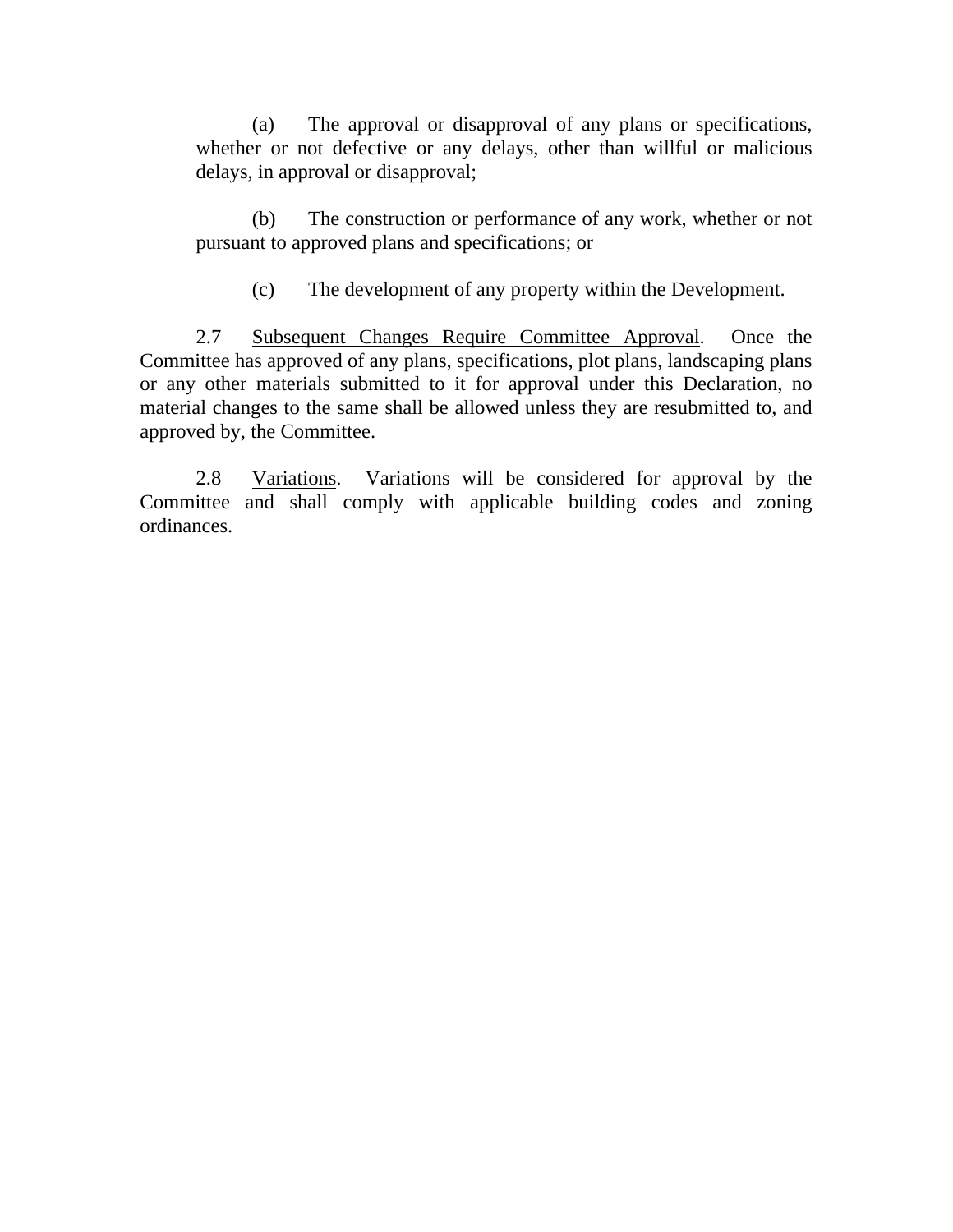(a) The approval or disapproval of any plans or specifications, whether or not defective or any delays, other than willful or malicious delays, in approval or disapproval;

(b) The construction or performance of any work, whether or not pursuant to approved plans and specifications; or

(c) The development of any property within the Development.

 2.7 Subsequent Changes Require Committee Approval. Once the Committee has approved of any plans, specifications, plot plans, landscaping plans or any other materials submitted to it for approval under this Declaration, no material changes to the same shall be allowed unless they are resubmitted to, and approved by, the Committee.

2.8 Variations. Variations will be considered for approval by the Committee and shall comply with applicable building codes and zoning ordinances.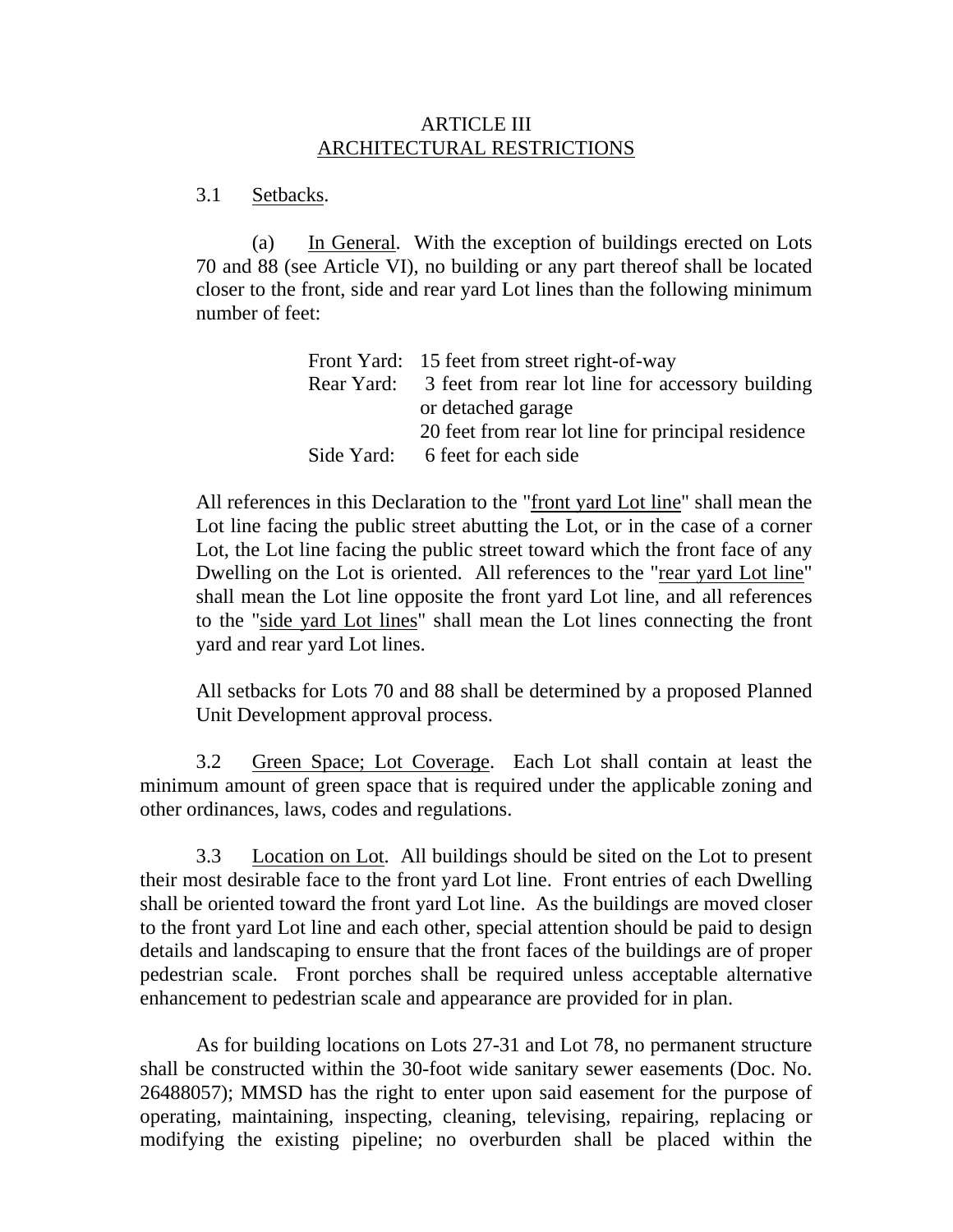# ARTICLE III ARCHITECTURAL RESTRICTIONS

#### 3.1 Setbacks.

(a) In General. With the exception of buildings erected on Lots 70 and 88 (see Article VI), no building or any part thereof shall be located closer to the front, side and rear yard Lot lines than the following minimum number of feet:

|            | Front Yard: 15 feet from street right-of-way                |
|------------|-------------------------------------------------------------|
|            | Rear Yard: 3 feet from rear lot line for accessory building |
|            | or detached garage                                          |
|            | 20 feet from rear lot line for principal residence          |
| Side Yard: | 6 feet for each side                                        |

All references in this Declaration to the "front yard Lot line" shall mean the Lot line facing the public street abutting the Lot, or in the case of a corner Lot, the Lot line facing the public street toward which the front face of any Dwelling on the Lot is oriented. All references to the "rear yard Lot line" shall mean the Lot line opposite the front yard Lot line, and all references to the "side yard Lot lines" shall mean the Lot lines connecting the front yard and rear yard Lot lines.

All setbacks for Lots 70 and 88 shall be determined by a proposed Planned Unit Development approval process.

3.2 Green Space; Lot Coverage. Each Lot shall contain at least the minimum amount of green space that is required under the applicable zoning and other ordinances, laws, codes and regulations.

 3.3 Location on Lot. All buildings should be sited on the Lot to present their most desirable face to the front yard Lot line. Front entries of each Dwelling shall be oriented toward the front yard Lot line. As the buildings are moved closer to the front yard Lot line and each other, special attention should be paid to design details and landscaping to ensure that the front faces of the buildings are of proper pedestrian scale. Front porches shall be required unless acceptable alternative enhancement to pedestrian scale and appearance are provided for in plan.

 As for building locations on Lots 27-31 and Lot 78, no permanent structure shall be constructed within the 30-foot wide sanitary sewer easements (Doc. No. 26488057); MMSD has the right to enter upon said easement for the purpose of operating, maintaining, inspecting, cleaning, televising, repairing, replacing or modifying the existing pipeline; no overburden shall be placed within the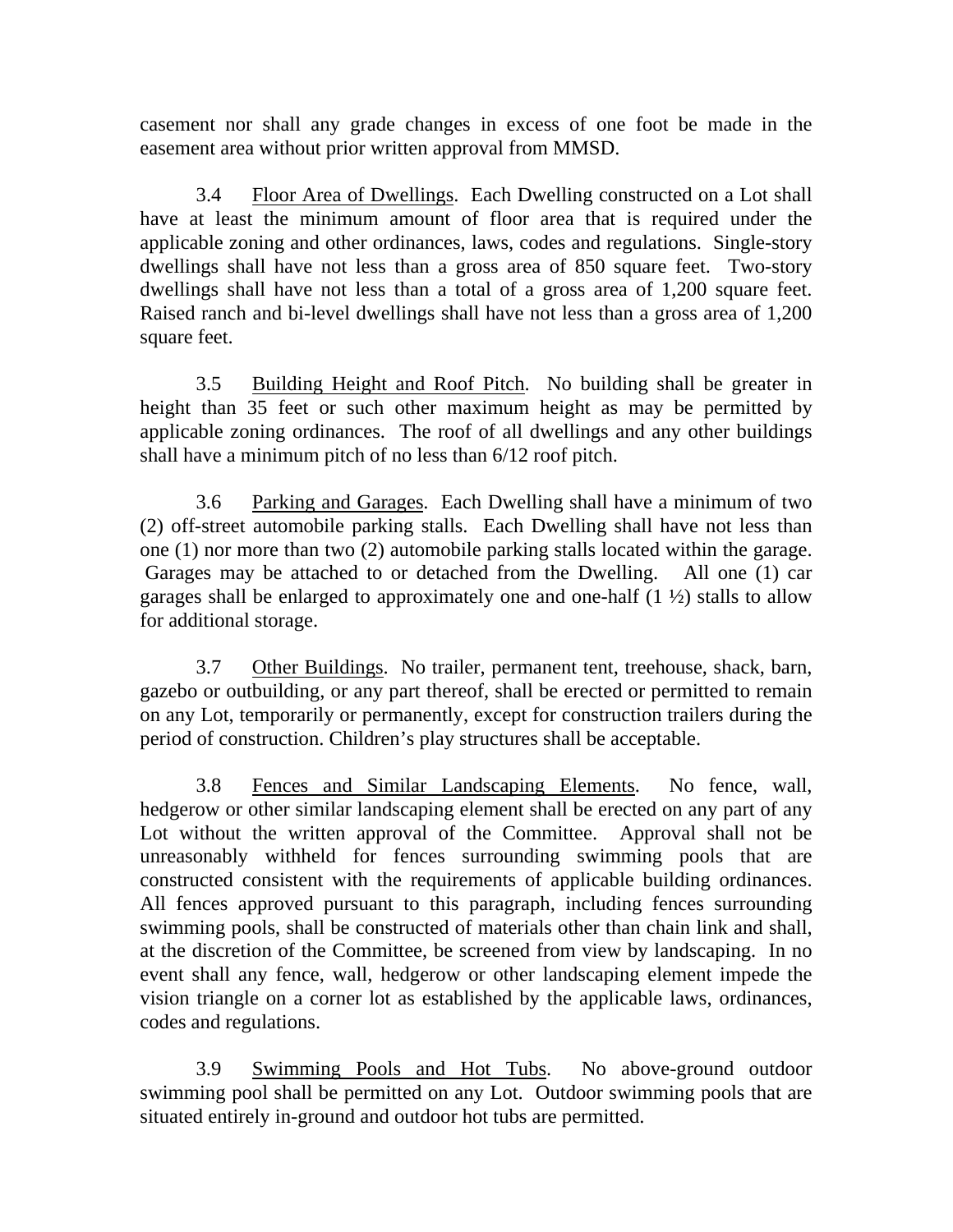casement nor shall any grade changes in excess of one foot be made in the easement area without prior written approval from MMSD.

 3.4 Floor Area of Dwellings. Each Dwelling constructed on a Lot shall have at least the minimum amount of floor area that is required under the applicable zoning and other ordinances, laws, codes and regulations. Single-story dwellings shall have not less than a gross area of 850 square feet. Two-story dwellings shall have not less than a total of a gross area of 1,200 square feet. Raised ranch and bi-level dwellings shall have not less than a gross area of 1,200 square feet.

 3.5 Building Height and Roof Pitch. No building shall be greater in height than 35 feet or such other maximum height as may be permitted by applicable zoning ordinances. The roof of all dwellings and any other buildings shall have a minimum pitch of no less than 6/12 roof pitch.

 3.6 Parking and Garages. Each Dwelling shall have a minimum of two (2) off-street automobile parking stalls. Each Dwelling shall have not less than one (1) nor more than two (2) automobile parking stalls located within the garage. Garages may be attached to or detached from the Dwelling. All one (1) car garages shall be enlarged to approximately one and one-half  $(1 \frac{1}{2})$  stalls to allow for additional storage.

3.7 Other Buildings. No trailer, permanent tent, treehouse, shack, barn, gazebo or outbuilding, or any part thereof, shall be erected or permitted to remain on any Lot, temporarily or permanently, except for construction trailers during the period of construction. Children's play structures shall be acceptable.

3.8 Fences and Similar Landscaping Elements. No fence, wall, hedgerow or other similar landscaping element shall be erected on any part of any Lot without the written approval of the Committee. Approval shall not be unreasonably withheld for fences surrounding swimming pools that are constructed consistent with the requirements of applicable building ordinances. All fences approved pursuant to this paragraph, including fences surrounding swimming pools, shall be constructed of materials other than chain link and shall, at the discretion of the Committee, be screened from view by landscaping. In no event shall any fence, wall, hedgerow or other landscaping element impede the vision triangle on a corner lot as established by the applicable laws, ordinances, codes and regulations.

 3.9 Swimming Pools and Hot Tubs. No above-ground outdoor swimming pool shall be permitted on any Lot. Outdoor swimming pools that are situated entirely in-ground and outdoor hot tubs are permitted.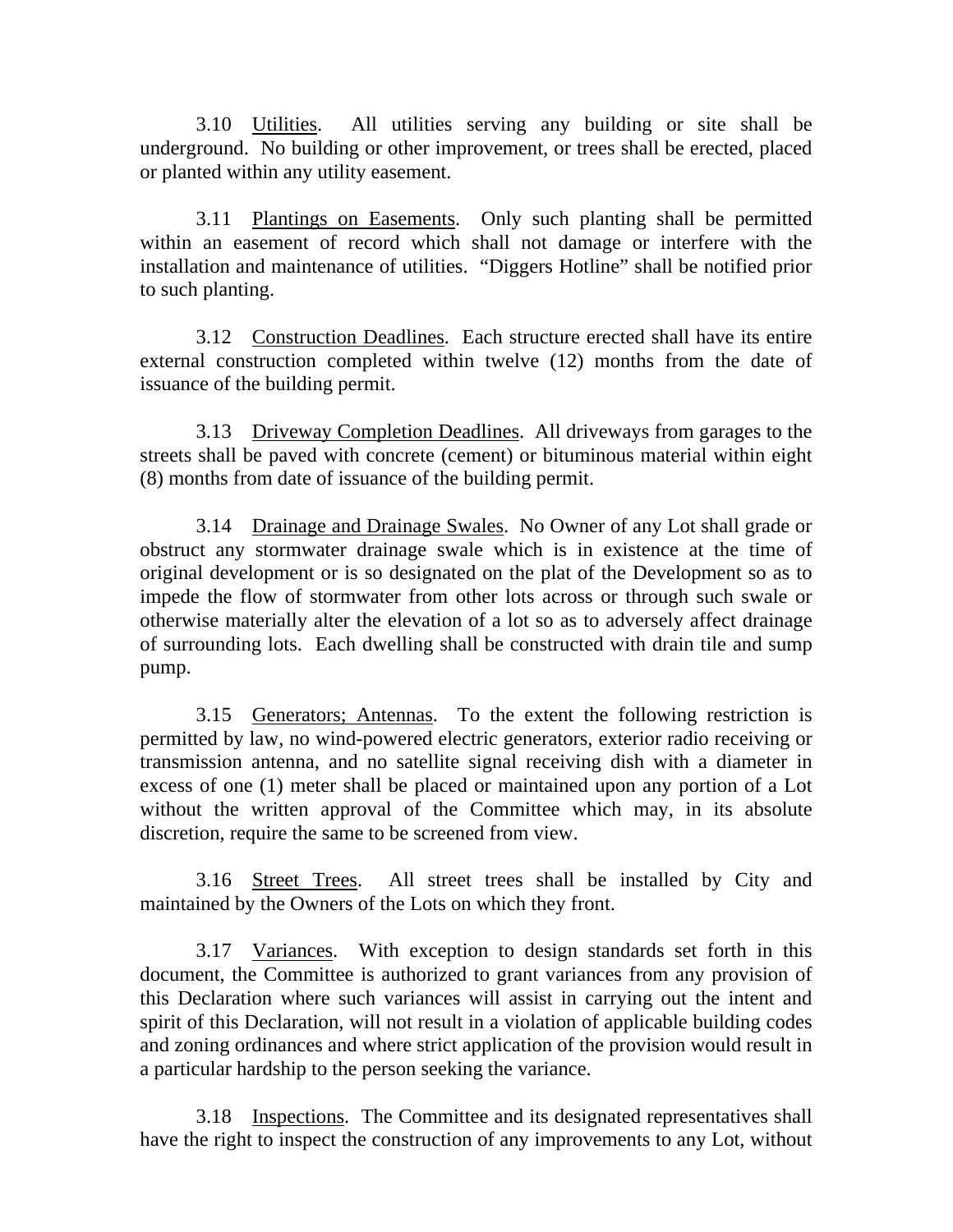3.10 Utilities. All utilities serving any building or site shall be underground. No building or other improvement, or trees shall be erected, placed or planted within any utility easement.

 3.11 Plantings on Easements. Only such planting shall be permitted within an easement of record which shall not damage or interfere with the installation and maintenance of utilities. "Diggers Hotline" shall be notified prior to such planting.

 3.12 Construction Deadlines. Each structure erected shall have its entire external construction completed within twelve (12) months from the date of issuance of the building permit.

 3.13 Driveway Completion Deadlines. All driveways from garages to the streets shall be paved with concrete (cement) or bituminous material within eight (8) months from date of issuance of the building permit.

 3.14 Drainage and Drainage Swales. No Owner of any Lot shall grade or obstruct any stormwater drainage swale which is in existence at the time of original development or is so designated on the plat of the Development so as to impede the flow of stormwater from other lots across or through such swale or otherwise materially alter the elevation of a lot so as to adversely affect drainage of surrounding lots. Each dwelling shall be constructed with drain tile and sump pump.

 3.15 Generators; Antennas. To the extent the following restriction is permitted by law, no wind-powered electric generators, exterior radio receiving or transmission antenna, and no satellite signal receiving dish with a diameter in excess of one (1) meter shall be placed or maintained upon any portion of a Lot without the written approval of the Committee which may, in its absolute discretion, require the same to be screened from view.

 3.16 Street Trees. All street trees shall be installed by City and maintained by the Owners of the Lots on which they front.

 3.17 Variances. With exception to design standards set forth in this document, the Committee is authorized to grant variances from any provision of this Declaration where such variances will assist in carrying out the intent and spirit of this Declaration, will not result in a violation of applicable building codes and zoning ordinances and where strict application of the provision would result in a particular hardship to the person seeking the variance.

 3.18 Inspections. The Committee and its designated representatives shall have the right to inspect the construction of any improvements to any Lot, without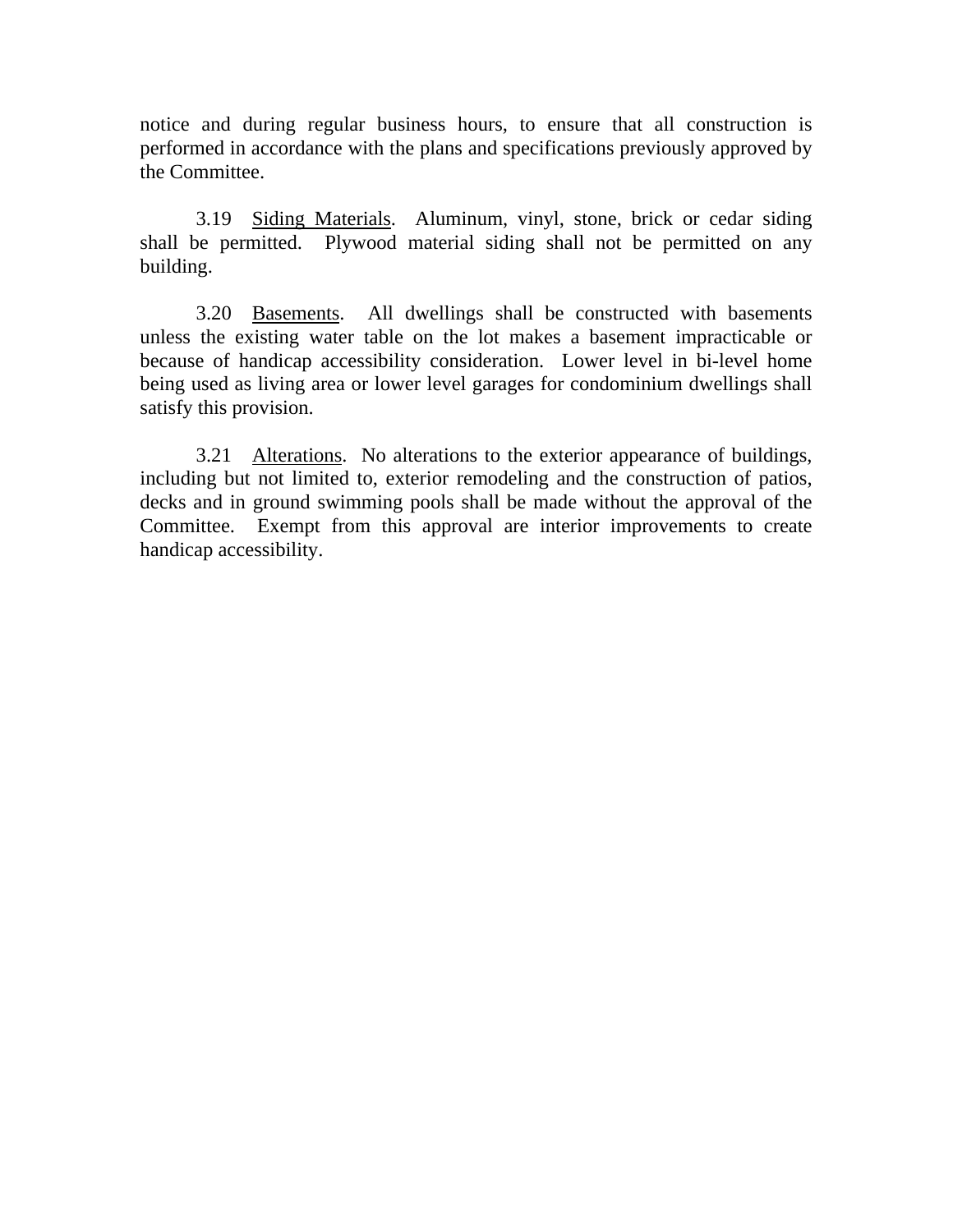notice and during regular business hours, to ensure that all construction is performed in accordance with the plans and specifications previously approved by the Committee.

 3.19 Siding Materials. Aluminum, vinyl, stone, brick or cedar siding shall be permitted. Plywood material siding shall not be permitted on any building.

 3.20 Basements. All dwellings shall be constructed with basements unless the existing water table on the lot makes a basement impracticable or because of handicap accessibility consideration. Lower level in bi-level home being used as living area or lower level garages for condominium dwellings shall satisfy this provision.

 3.21 Alterations. No alterations to the exterior appearance of buildings, including but not limited to, exterior remodeling and the construction of patios, decks and in ground swimming pools shall be made without the approval of the Committee. Exempt from this approval are interior improvements to create handicap accessibility.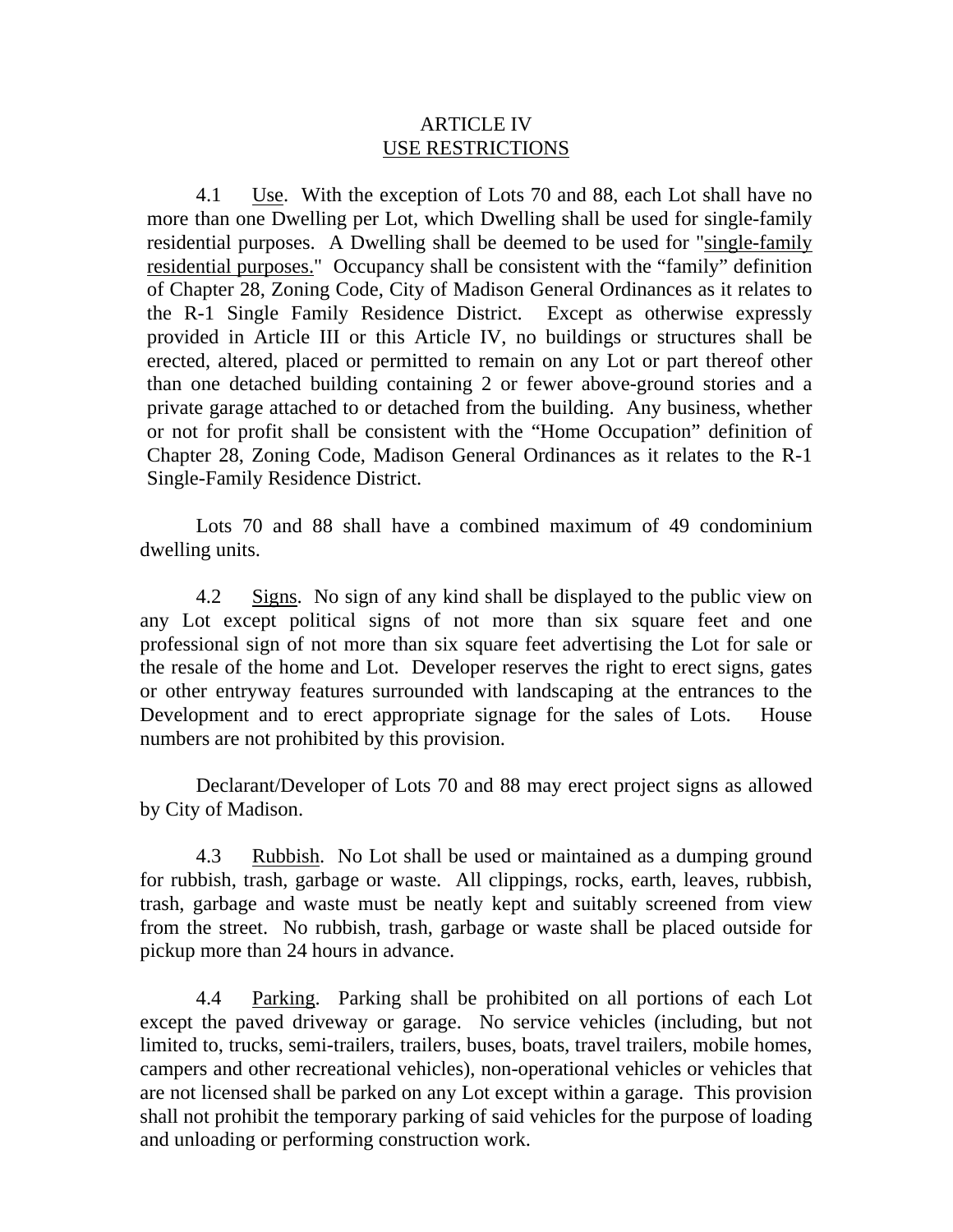#### ARTICLE IV USE RESTRICTIONS

4.1 Use. With the exception of Lots 70 and 88, each Lot shall have no more than one Dwelling per Lot, which Dwelling shall be used for single-family residential purposes. A Dwelling shall be deemed to be used for "single-family residential purposes." Occupancy shall be consistent with the "family" definition of Chapter 28, Zoning Code, City of Madison General Ordinances as it relates to the R-1 Single Family Residence District. Except as otherwise expressly provided in Article III or this Article IV, no buildings or structures shall be erected, altered, placed or permitted to remain on any Lot or part thereof other than one detached building containing 2 or fewer above-ground stories and a private garage attached to or detached from the building. Any business, whether or not for profit shall be consistent with the "Home Occupation" definition of Chapter 28, Zoning Code, Madison General Ordinances as it relates to the R-1 Single-Family Residence District.

Lots 70 and 88 shall have a combined maximum of 49 condominium dwelling units.

 4.2 Signs. No sign of any kind shall be displayed to the public view on any Lot except political signs of not more than six square feet and one professional sign of not more than six square feet advertising the Lot for sale or the resale of the home and Lot. Developer reserves the right to erect signs, gates or other entryway features surrounded with landscaping at the entrances to the Development and to erect appropriate signage for the sales of Lots. House numbers are not prohibited by this provision.

 Declarant/Developer of Lots 70 and 88 may erect project signs as allowed by City of Madison.

 4.3 Rubbish. No Lot shall be used or maintained as a dumping ground for rubbish, trash, garbage or waste. All clippings, rocks, earth, leaves, rubbish, trash, garbage and waste must be neatly kept and suitably screened from view from the street. No rubbish, trash, garbage or waste shall be placed outside for pickup more than 24 hours in advance.

 4.4 Parking. Parking shall be prohibited on all portions of each Lot except the paved driveway or garage. No service vehicles (including, but not limited to, trucks, semi-trailers, trailers, buses, boats, travel trailers, mobile homes, campers and other recreational vehicles), non-operational vehicles or vehicles that are not licensed shall be parked on any Lot except within a garage. This provision shall not prohibit the temporary parking of said vehicles for the purpose of loading and unloading or performing construction work.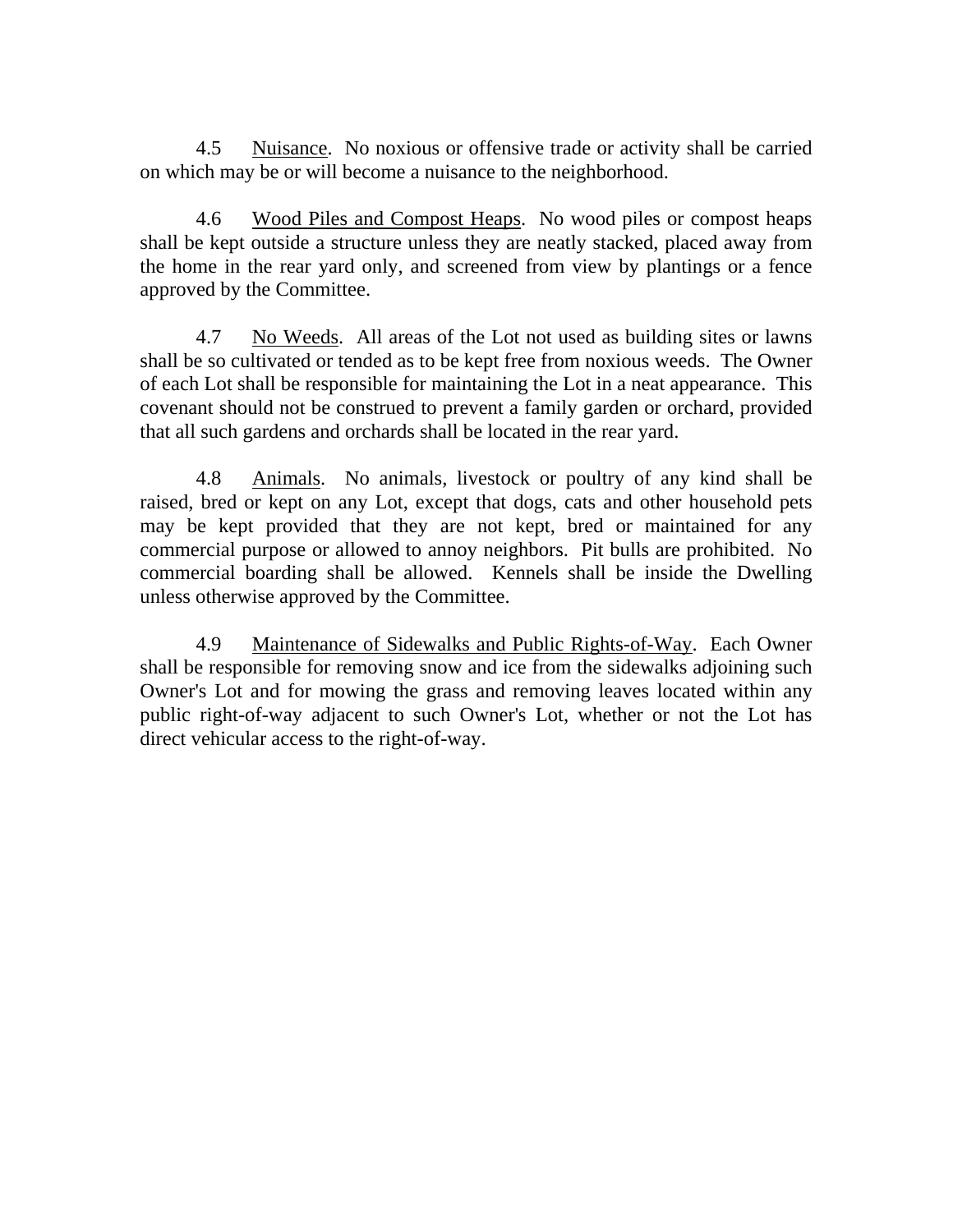4.5 Nuisance. No noxious or offensive trade or activity shall be carried on which may be or will become a nuisance to the neighborhood.

 4.6 Wood Piles and Compost Heaps. No wood piles or compost heaps shall be kept outside a structure unless they are neatly stacked, placed away from the home in the rear yard only, and screened from view by plantings or a fence approved by the Committee.

 4.7 No Weeds. All areas of the Lot not used as building sites or lawns shall be so cultivated or tended as to be kept free from noxious weeds. The Owner of each Lot shall be responsible for maintaining the Lot in a neat appearance. This covenant should not be construed to prevent a family garden or orchard, provided that all such gardens and orchards shall be located in the rear yard.

 4.8 Animals. No animals, livestock or poultry of any kind shall be raised, bred or kept on any Lot, except that dogs, cats and other household pets may be kept provided that they are not kept, bred or maintained for any commercial purpose or allowed to annoy neighbors. Pit bulls are prohibited. No commercial boarding shall be allowed. Kennels shall be inside the Dwelling unless otherwise approved by the Committee.

 4.9 Maintenance of Sidewalks and Public Rights-of-Way. Each Owner shall be responsible for removing snow and ice from the sidewalks adjoining such Owner's Lot and for mowing the grass and removing leaves located within any public right-of-way adjacent to such Owner's Lot, whether or not the Lot has direct vehicular access to the right-of-way.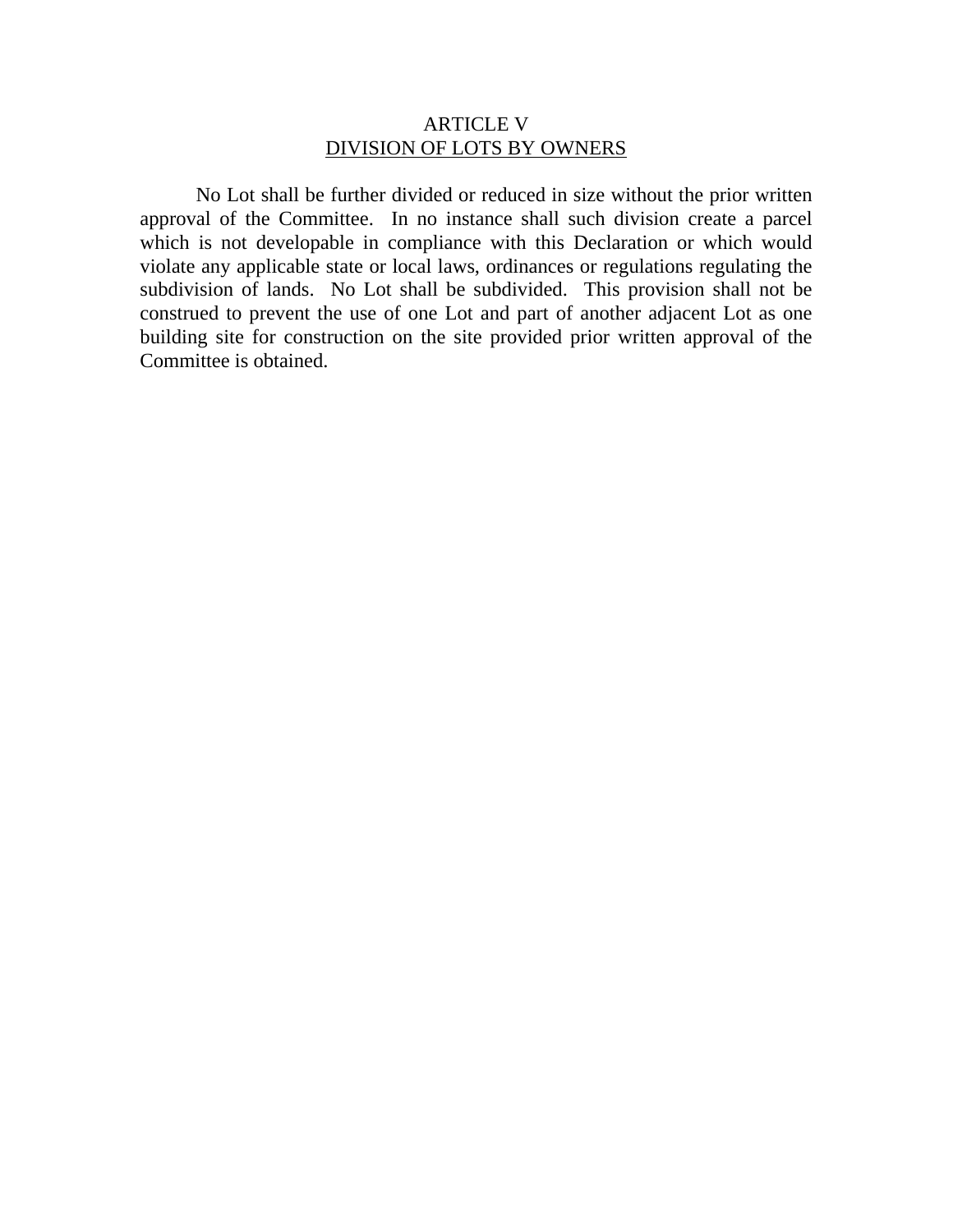# ARTICLE V DIVISION OF LOTS BY OWNERS

 No Lot shall be further divided or reduced in size without the prior written approval of the Committee. In no instance shall such division create a parcel which is not developable in compliance with this Declaration or which would violate any applicable state or local laws, ordinances or regulations regulating the subdivision of lands. No Lot shall be subdivided. This provision shall not be construed to prevent the use of one Lot and part of another adjacent Lot as one building site for construction on the site provided prior written approval of the Committee is obtained.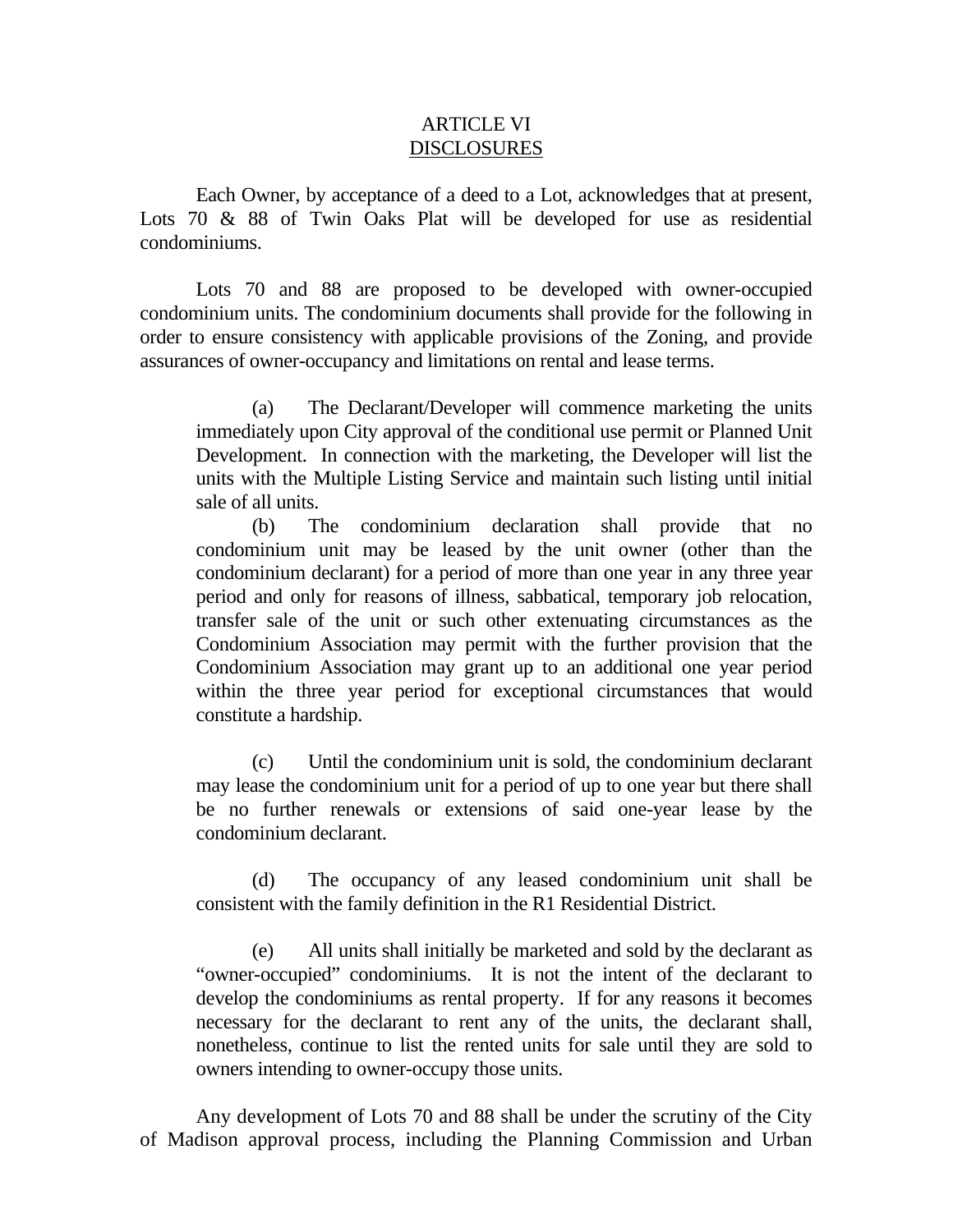#### ARTICLE VI DISCLOSURES

 Each Owner, by acceptance of a deed to a Lot, acknowledges that at present, Lots 70 & 88 of Twin Oaks Plat will be developed for use as residential condominiums.

 Lots 70 and 88 are proposed to be developed with owner-occupied condominium units. The condominium documents shall provide for the following in order to ensure consistency with applicable provisions of the Zoning, and provide assurances of owner-occupancy and limitations on rental and lease terms.

(a) The Declarant/Developer will commence marketing the units immediately upon City approval of the conditional use permit or Planned Unit Development. In connection with the marketing, the Developer will list the units with the Multiple Listing Service and maintain such listing until initial sale of all units.

(b) The condominium declaration shall provide that no condominium unit may be leased by the unit owner (other than the condominium declarant) for a period of more than one year in any three year period and only for reasons of illness, sabbatical, temporary job relocation, transfer sale of the unit or such other extenuating circumstances as the Condominium Association may permit with the further provision that the Condominium Association may grant up to an additional one year period within the three year period for exceptional circumstances that would constitute a hardship.

(c) Until the condominium unit is sold, the condominium declarant may lease the condominium unit for a period of up to one year but there shall be no further renewals or extensions of said one-year lease by the condominium declarant.

(d) The occupancy of any leased condominium unit shall be consistent with the family definition in the R1 Residential District.

(e) All units shall initially be marketed and sold by the declarant as "owner-occupied" condominiums. It is not the intent of the declarant to develop the condominiums as rental property. If for any reasons it becomes necessary for the declarant to rent any of the units, the declarant shall, nonetheless, continue to list the rented units for sale until they are sold to owners intending to owner-occupy those units.

Any development of Lots 70 and 88 shall be under the scrutiny of the City of Madison approval process, including the Planning Commission and Urban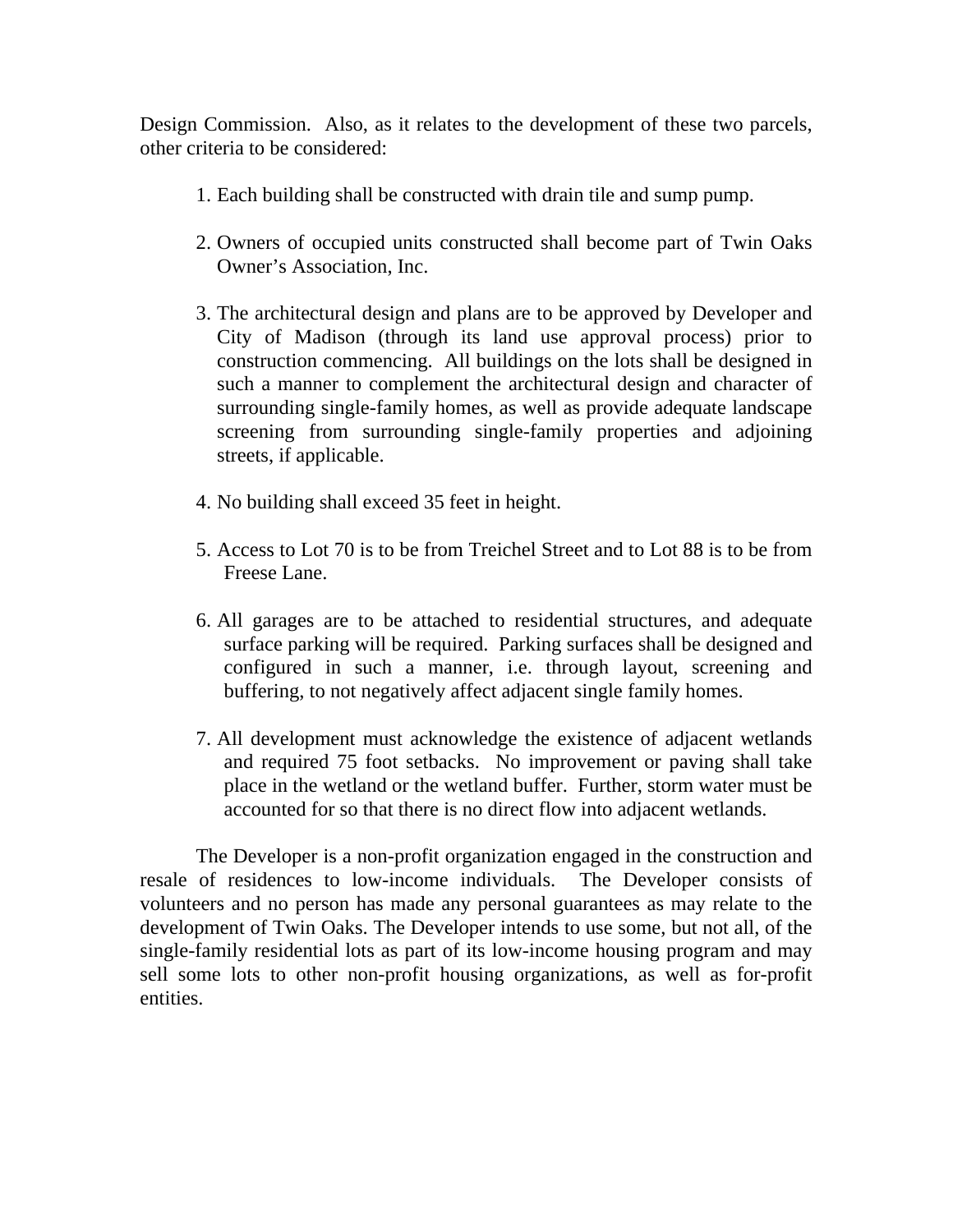Design Commission. Also, as it relates to the development of these two parcels, other criteria to be considered:

- 1. Each building shall be constructed with drain tile and sump pump.
- 2. Owners of occupied units constructed shall become part of Twin Oaks Owner's Association, Inc.
- 3. The architectural design and plans are to be approved by Developer and City of Madison (through its land use approval process) prior to construction commencing. All buildings on the lots shall be designed in such a manner to complement the architectural design and character of surrounding single-family homes, as well as provide adequate landscape screening from surrounding single-family properties and adjoining streets, if applicable.
- 4. No building shall exceed 35 feet in height.
- 5. Access to Lot 70 is to be from Treichel Street and to Lot 88 is to be from Freese Lane.
- 6. All garages are to be attached to residential structures, and adequate surface parking will be required. Parking surfaces shall be designed and configured in such a manner, i.e. through layout, screening and buffering, to not negatively affect adjacent single family homes.
- 7. All development must acknowledge the existence of adjacent wetlands and required 75 foot setbacks. No improvement or paving shall take place in the wetland or the wetland buffer. Further, storm water must be accounted for so that there is no direct flow into adjacent wetlands.

 The Developer is a non-profit organization engaged in the construction and resale of residences to low-income individuals. The Developer consists of volunteers and no person has made any personal guarantees as may relate to the development of Twin Oaks. The Developer intends to use some, but not all, of the single-family residential lots as part of its low-income housing program and may sell some lots to other non-profit housing organizations, as well as for-profit entities.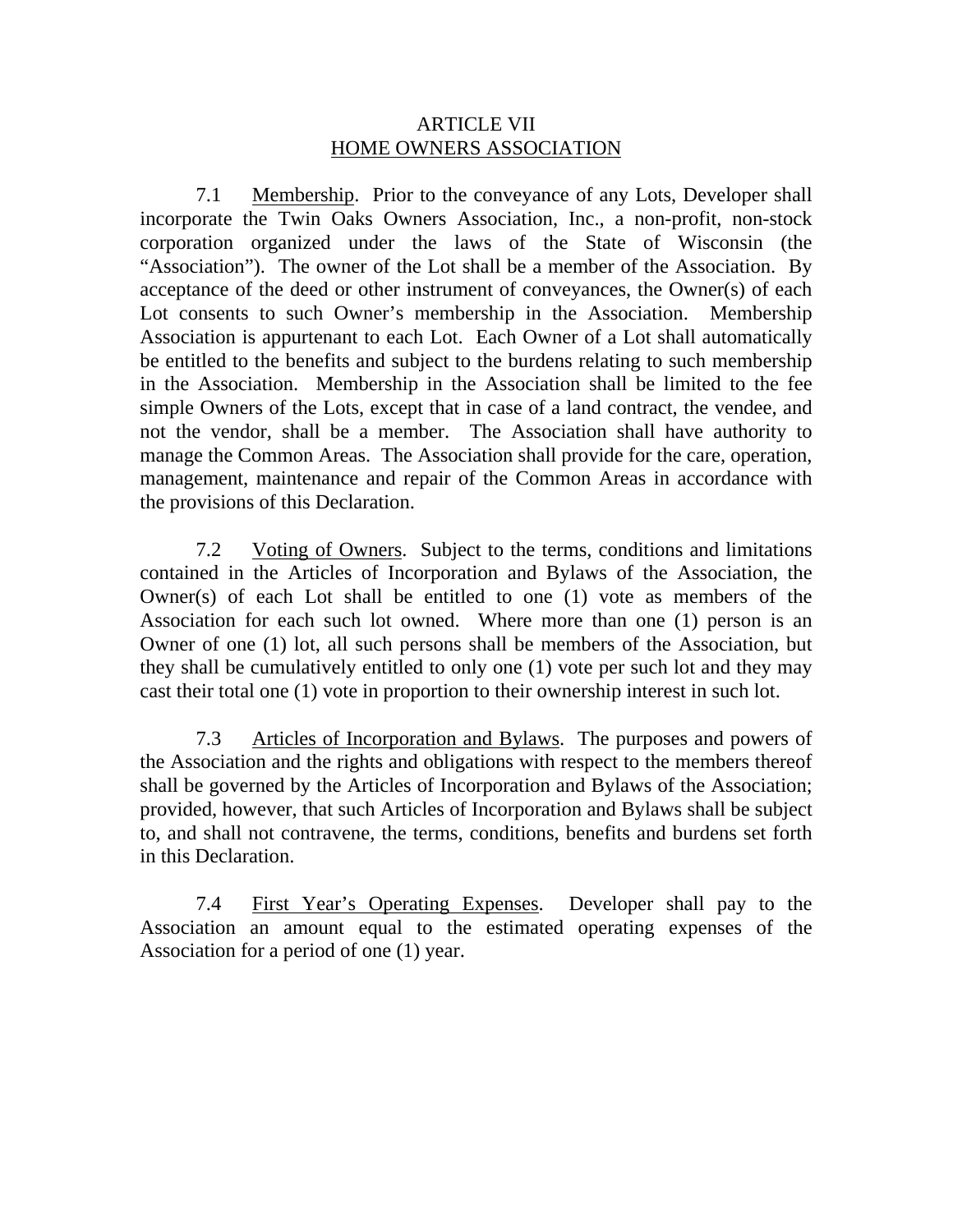## ARTICLE VII HOME OWNERS ASSOCIATION

7.1 Membership. Prior to the conveyance of any Lots, Developer shall incorporate the Twin Oaks Owners Association, Inc., a non-profit, non-stock corporation organized under the laws of the State of Wisconsin (the "Association"). The owner of the Lot shall be a member of the Association. By acceptance of the deed or other instrument of conveyances, the Owner(s) of each Lot consents to such Owner's membership in the Association. Membership Association is appurtenant to each Lot. Each Owner of a Lot shall automatically be entitled to the benefits and subject to the burdens relating to such membership in the Association. Membership in the Association shall be limited to the fee simple Owners of the Lots, except that in case of a land contract, the vendee, and not the vendor, shall be a member. The Association shall have authority to manage the Common Areas. The Association shall provide for the care, operation, management, maintenance and repair of the Common Areas in accordance with the provisions of this Declaration.

7.2 Voting of Owners. Subject to the terms, conditions and limitations contained in the Articles of Incorporation and Bylaws of the Association, the Owner(s) of each Lot shall be entitled to one (1) vote as members of the Association for each such lot owned. Where more than one (1) person is an Owner of one (1) lot, all such persons shall be members of the Association, but they shall be cumulatively entitled to only one (1) vote per such lot and they may cast their total one (1) vote in proportion to their ownership interest in such lot.

7.3 Articles of Incorporation and Bylaws. The purposes and powers of the Association and the rights and obligations with respect to the members thereof shall be governed by the Articles of Incorporation and Bylaws of the Association; provided, however, that such Articles of Incorporation and Bylaws shall be subject to, and shall not contravene, the terms, conditions, benefits and burdens set forth in this Declaration.

7.4 First Year's Operating Expenses. Developer shall pay to the Association an amount equal to the estimated operating expenses of the Association for a period of one (1) year.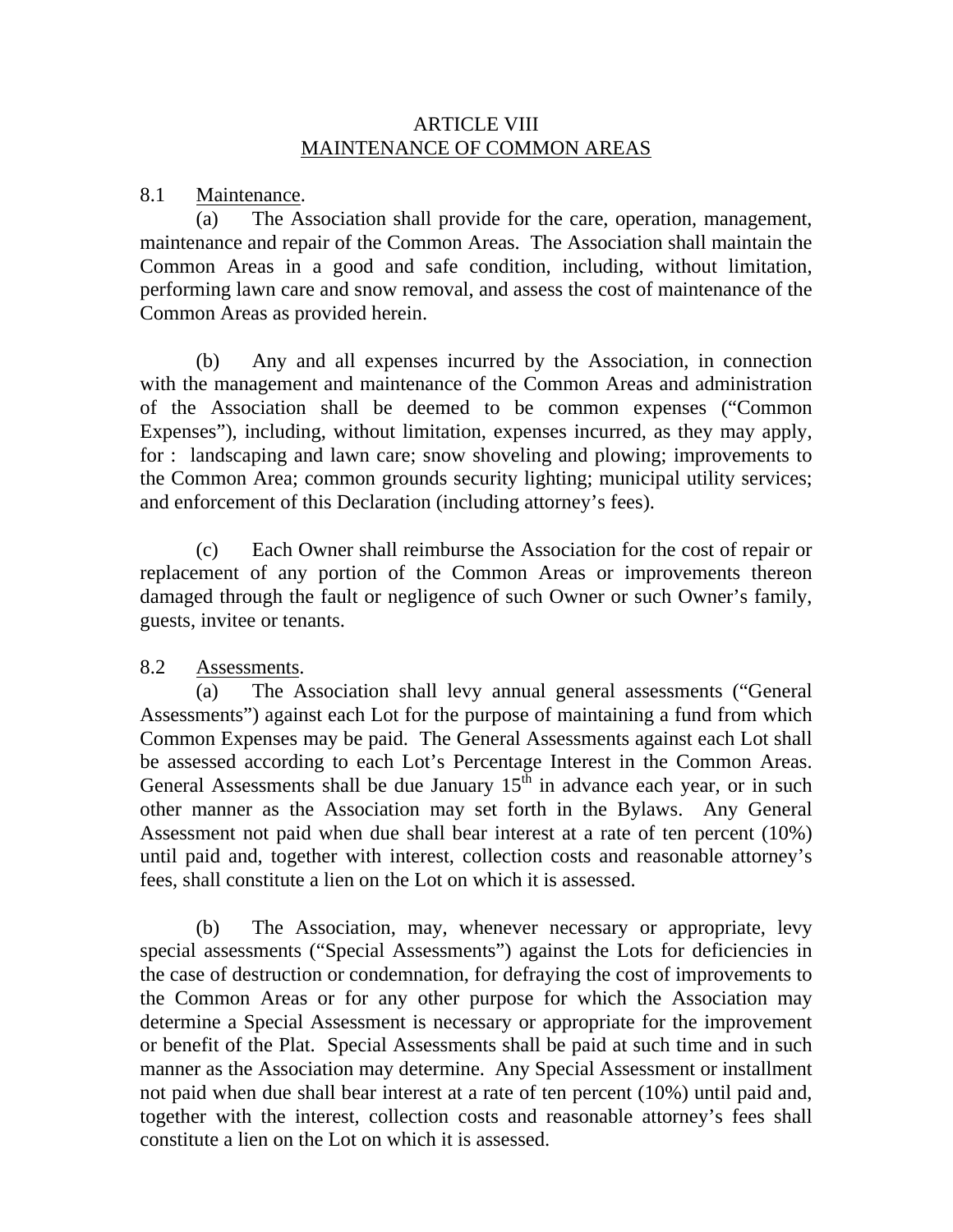# ARTICLE VIII MAINTENANCE OF COMMON AREAS

8.1 Maintenance.

(a) The Association shall provide for the care, operation, management, maintenance and repair of the Common Areas. The Association shall maintain the Common Areas in a good and safe condition, including, without limitation, performing lawn care and snow removal, and assess the cost of maintenance of the Common Areas as provided herein.

(b) Any and all expenses incurred by the Association, in connection with the management and maintenance of the Common Areas and administration of the Association shall be deemed to be common expenses ("Common Expenses"), including, without limitation, expenses incurred, as they may apply, for : landscaping and lawn care; snow shoveling and plowing; improvements to the Common Area; common grounds security lighting; municipal utility services; and enforcement of this Declaration (including attorney's fees).

(c) Each Owner shall reimburse the Association for the cost of repair or replacement of any portion of the Common Areas or improvements thereon damaged through the fault or negligence of such Owner or such Owner's family, guests, invitee or tenants.

8.2 Assessments.

(a) The Association shall levy annual general assessments ("General Assessments") against each Lot for the purpose of maintaining a fund from which Common Expenses may be paid. The General Assessments against each Lot shall be assessed according to each Lot's Percentage Interest in the Common Areas. General Assessments shall be due January  $15^{\text{th}}$  in advance each year, or in such other manner as the Association may set forth in the Bylaws. Any General Assessment not paid when due shall bear interest at a rate of ten percent (10%) until paid and, together with interest, collection costs and reasonable attorney's fees, shall constitute a lien on the Lot on which it is assessed.

(b) The Association, may, whenever necessary or appropriate, levy special assessments ("Special Assessments") against the Lots for deficiencies in the case of destruction or condemnation, for defraying the cost of improvements to the Common Areas or for any other purpose for which the Association may determine a Special Assessment is necessary or appropriate for the improvement or benefit of the Plat. Special Assessments shall be paid at such time and in such manner as the Association may determine. Any Special Assessment or installment not paid when due shall bear interest at a rate of ten percent (10%) until paid and, together with the interest, collection costs and reasonable attorney's fees shall constitute a lien on the Lot on which it is assessed.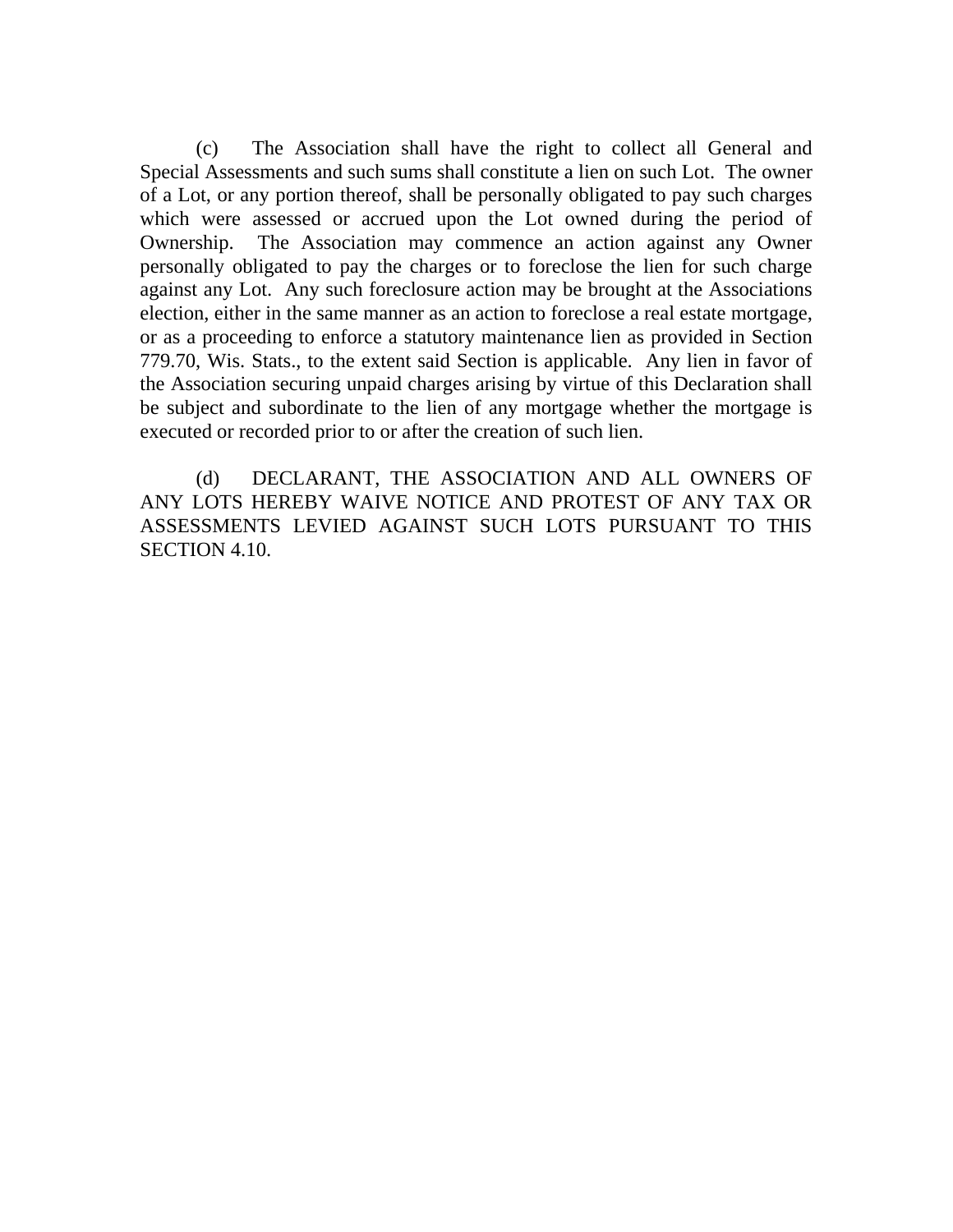(c) The Association shall have the right to collect all General and Special Assessments and such sums shall constitute a lien on such Lot. The owner of a Lot, or any portion thereof, shall be personally obligated to pay such charges which were assessed or accrued upon the Lot owned during the period of Ownership. The Association may commence an action against any Owner personally obligated to pay the charges or to foreclose the lien for such charge against any Lot. Any such foreclosure action may be brought at the Associations election, either in the same manner as an action to foreclose a real estate mortgage, or as a proceeding to enforce a statutory maintenance lien as provided in Section 779.70, Wis. Stats., to the extent said Section is applicable. Any lien in favor of the Association securing unpaid charges arising by virtue of this Declaration shall be subject and subordinate to the lien of any mortgage whether the mortgage is executed or recorded prior to or after the creation of such lien.

(d) DECLARANT, THE ASSOCIATION AND ALL OWNERS OF ANY LOTS HEREBY WAIVE NOTICE AND PROTEST OF ANY TAX OR ASSESSMENTS LEVIED AGAINST SUCH LOTS PURSUANT TO THIS SECTION 4.10.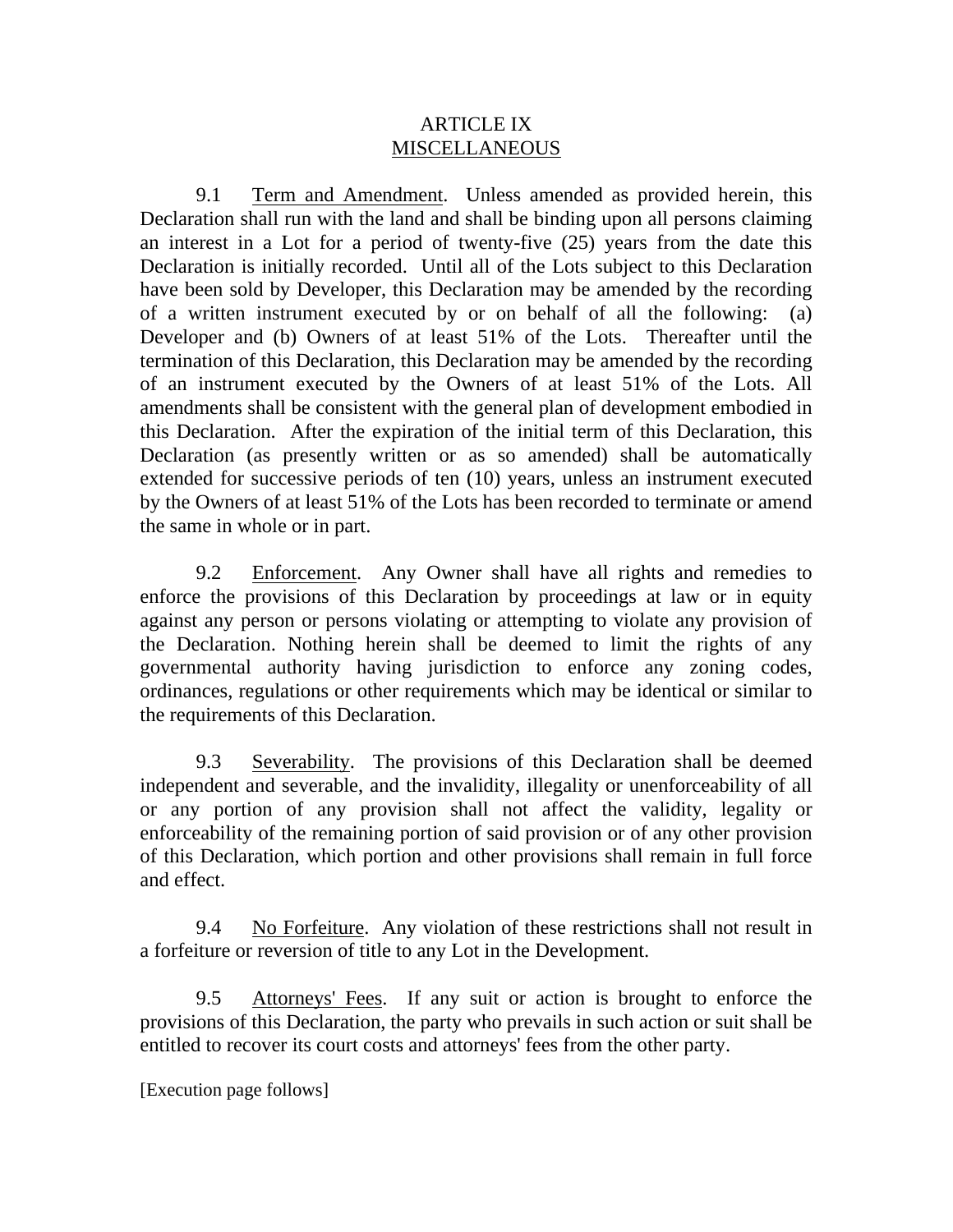# ARTICLE IX MISCELLANEOUS

 9.1 Term and Amendment. Unless amended as provided herein, this Declaration shall run with the land and shall be binding upon all persons claiming an interest in a Lot for a period of twenty-five (25) years from the date this Declaration is initially recorded. Until all of the Lots subject to this Declaration have been sold by Developer, this Declaration may be amended by the recording of a written instrument executed by or on behalf of all the following: (a) Developer and (b) Owners of at least 51% of the Lots. Thereafter until the termination of this Declaration, this Declaration may be amended by the recording of an instrument executed by the Owners of at least 51% of the Lots. All amendments shall be consistent with the general plan of development embodied in this Declaration. After the expiration of the initial term of this Declaration, this Declaration (as presently written or as so amended) shall be automatically extended for successive periods of ten (10) years, unless an instrument executed by the Owners of at least 51% of the Lots has been recorded to terminate or amend the same in whole or in part.

 9.2 Enforcement. Any Owner shall have all rights and remedies to enforce the provisions of this Declaration by proceedings at law or in equity against any person or persons violating or attempting to violate any provision of the Declaration. Nothing herein shall be deemed to limit the rights of any governmental authority having jurisdiction to enforce any zoning codes, ordinances, regulations or other requirements which may be identical or similar to the requirements of this Declaration.

 9.3 Severability. The provisions of this Declaration shall be deemed independent and severable, and the invalidity, illegality or unenforceability of all or any portion of any provision shall not affect the validity, legality or enforceability of the remaining portion of said provision or of any other provision of this Declaration, which portion and other provisions shall remain in full force and effect.

 9.4 No Forfeiture. Any violation of these restrictions shall not result in a forfeiture or reversion of title to any Lot in the Development.

 9.5 Attorneys' Fees. If any suit or action is brought to enforce the provisions of this Declaration, the party who prevails in such action or suit shall be entitled to recover its court costs and attorneys' fees from the other party.

[Execution page follows]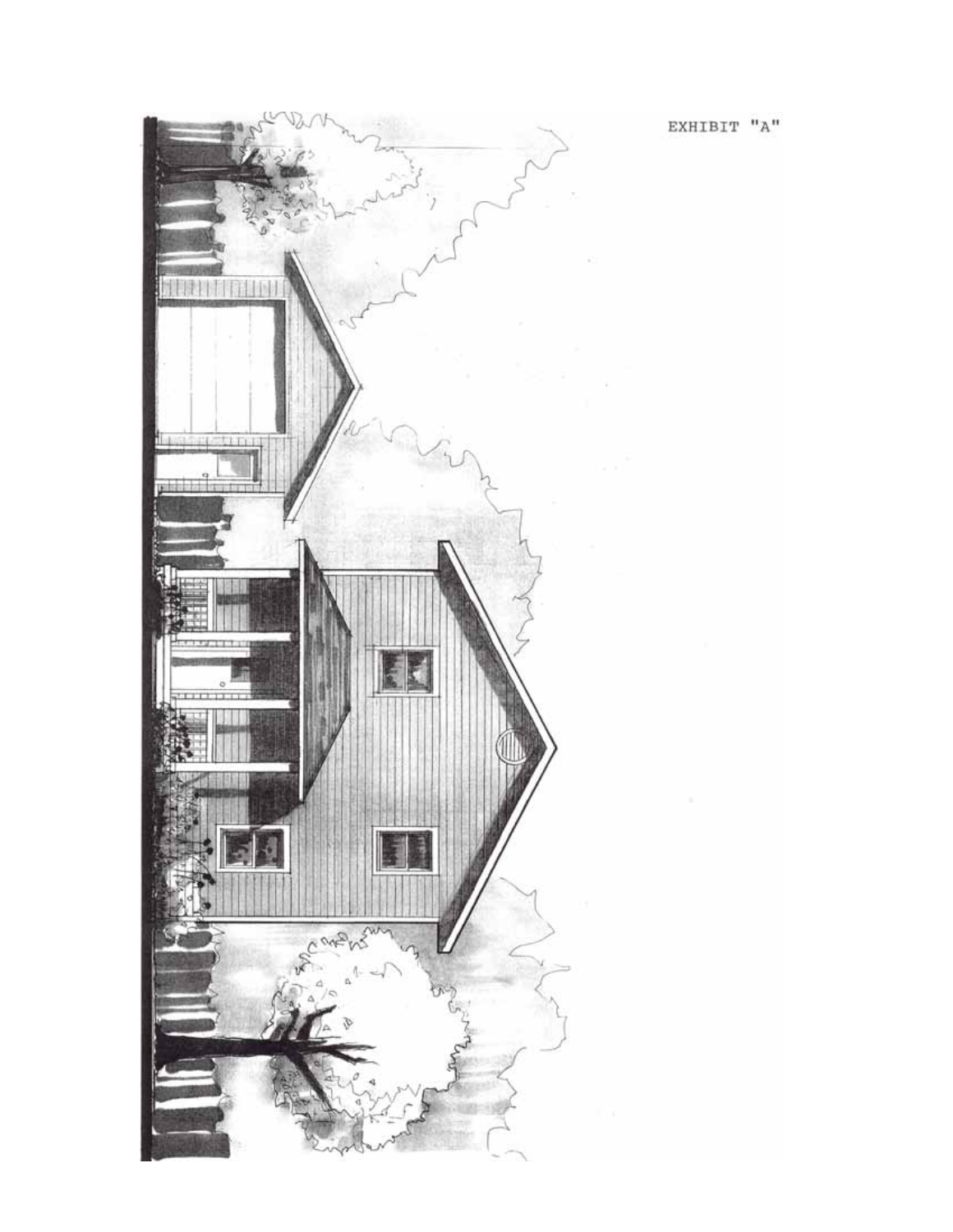

EXHIBIT  $"A"$